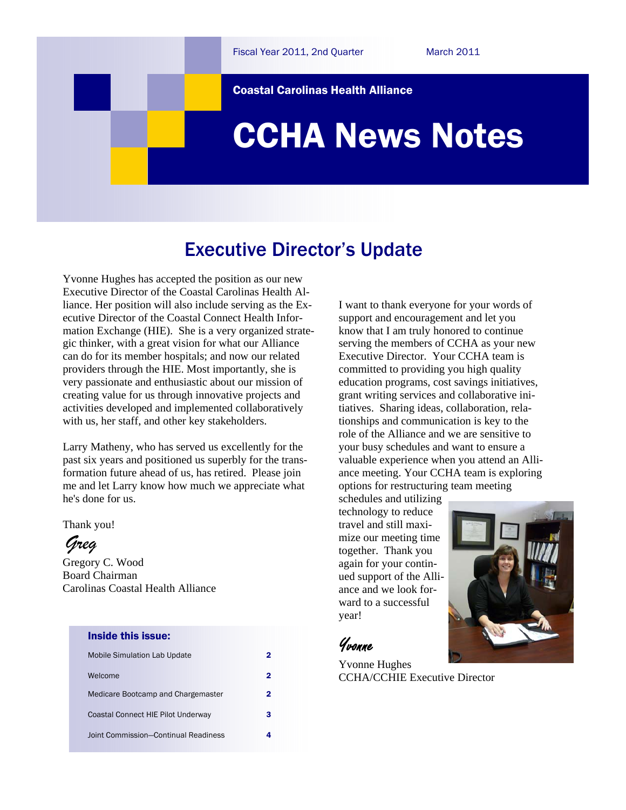Coastal Carolinas Health Alliance

# CCHA News Notes

### Executive Director's Update

Yvonne Hughes has accepted the position as our new Executive Director of the Coastal Carolinas Health Alliance. Her position will also include serving as the Executive Director of the Coastal Connect Health Information Exchange (HIE). She is a very organized strategic thinker, with a great vision for what our Alliance can do for its member hospitals; and now our related providers through the HIE. Most importantly, she is very passionate and enthusiastic about our mission of creating value for us through innovative projects and activities developed and implemented collaboratively with us, her staff, and other key stakeholders.

Larry Matheny, who has served us excellently for the past six years and positioned us superbly for the transformation future ahead of us, has retired. Please join me and let Larry know how much we appreciate what he's done for us.

Thank you!

*Greg*

Gregory C. Wood Board Chairman Carolinas Coastal Health Alliance

#### Inside this issue:

| <b>Mobile Simulation Lab Update</b>  |   |
|--------------------------------------|---|
| Welcome                              |   |
| Medicare Bootcamp and Chargemaster   | 2 |
| Coastal Connect HIE Pilot Underway   |   |
| Joint Commission-Continual Readiness |   |

I want to thank everyone for your words of support and encouragement and let you know that I am truly honored to continue serving the members of CCHA as your new Executive Director. Your CCHA team is committed to providing you high quality education programs, cost savings initiatives, grant writing services and collaborative initiatives. Sharing ideas, collaboration, relationships and communication is key to the role of the Alliance and we are sensitive to your busy schedules and want to ensure a valuable experience when you attend an Alliance meeting. Your CCHA team is exploring options for restructuring team meeting

schedules and utilizing technology to reduce travel and still maximize our meeting time together. Thank you again for your continued support of the Alliance and we look forward to a successful year!



### Yvonne

Yvonne Hughes CCHA/CCHIE Executive Director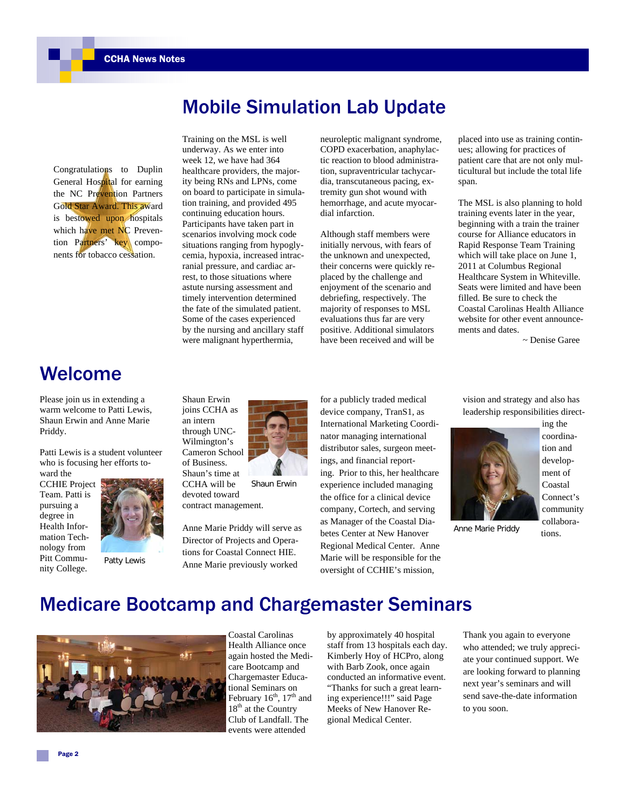Congratulations to Duplin General Hospital for earning the NC Prevention Partners Gold Star Award. This award is bestowed upon hospitals which have met NC Prevention Partners' key components for tobacco cessation.

## Training on the MSL is well underway. As we enter into week 12, we have had 364 healthcare providers, the majority being RNs and LPNs, come on board to participate in simulasituations ranging from hypoglycemia, hypoxia, increased intracby the nursing and ancillary staff

neuroleptic malignant syndrome, COPD exacerbation, anaphylactic reaction to blood administration, supraventricular tachycardia, transcutaneous pacing, extremity gun shot wound with hemorrhage, and acute myocardial infarction.

Mobile Simulation Lab Update

Although staff members were initially nervous, with fears of the unknown and unexpected, their concerns were quickly replaced by the challenge and enjoyment of the scenario and debriefing, respectively. The majority of responses to MSL evaluations thus far are very positive. Additional simulators have been received and will be

placed into use as training continues; allowing for practices of patient care that are not only multicultural but include the total life span.

The MSL is also planning to hold training events later in the year, beginning with a train the trainer course for Alliance educators in Rapid Response Team Training which will take place on June 1, 2011 at Columbus Regional Healthcare System in Whiteville. Seats were limited and have been filled. Be sure to check the Coastal Carolinas Health Alliance website for other event announcements and dates.

~ Denise Garee

### Welcome

Please join us in extending a warm welcome to Patti Lewis, Shaun Erwin and Anne Marie Priddy.

Patti Lewis is a student volunteer who is focusing her efforts toward the

CCHIE Project Team. Patti is pursuing a degree in Health Information Technology from Pitt Community College.



Patty Lewis

tion training, and provided 495 continuing education hours. Participants have taken part in scenarios involving mock code ranial pressure, and cardiac arrest, to those situations where astute nursing assessment and timely intervention determined the fate of the simulated patient. Some of the cases experienced were malignant hyperthermia,

Shaun Erwin joins CCHA as an intern through UNC-Wilmington's Cameron School of Business. Shaun's time at CCHA will be devoted toward contract management.

device company, TranS1, as International Marketing Coordinator managing international distributor sales, surgeon meetings, and financial reporting. Prior to this, her healthcare experience included managing the office for a clinical device company, Cortech, and serving as Manager of the Coastal Diabetes Center at New Hanover Regional Medical Center. Anne Marie will be responsible for the oversight of CCHIE's mission,

for a publicly traded medical

vision and strategy and also has leadership responsibilities direct-



ing the coordination and development of Coastal Connect's community collabora-

tions.

Anne Marie Priddy

### Medicare Bootcamp and Chargemaster Seminars

Anne Marie Priddy will serve as Director of Projects and Operations for Coastal Connect HIE. Anne Marie previously worked

Shaun Erwin



Coastal Carolinas Health Alliance once again hosted the Medicare Bootcamp and Chargemaster Educational Seminars on February  $16^{th}$ ,  $17^{th}$  and 18<sup>th</sup> at the Country Club of Landfall. The events were attended

by approximately 40 hospital staff from 13 hospitals each day. Kimberly Hoy of HCPro, along with Barb Zook, once again conducted an informative event. "Thanks for such a great learning experience!!!" said Page Meeks of New Hanover Regional Medical Center.

Thank you again to everyone who attended; we truly appreciate your continued support. We are looking forward to planning next year's seminars and will send save-the-date information to you soon.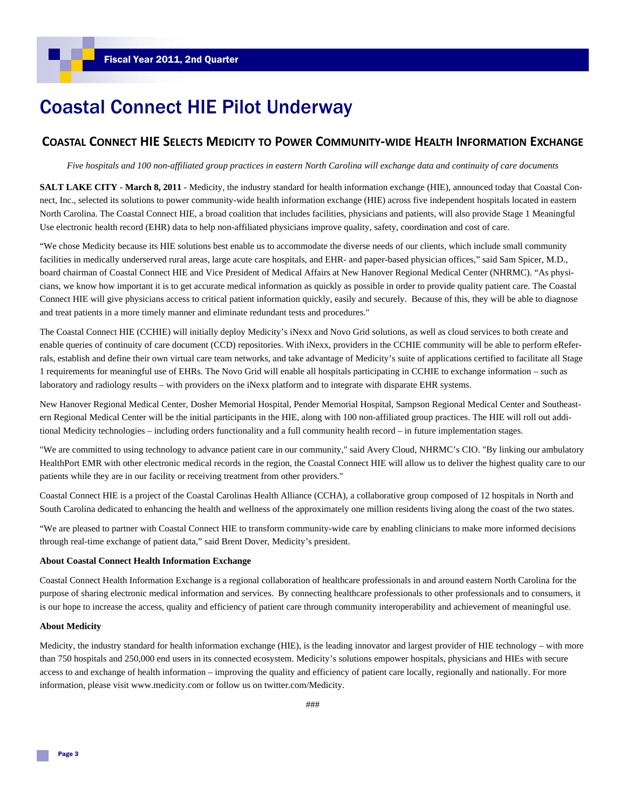### Coastal Connect HIE Pilot Underway

### **COASTAL CONNECT HIE SELECTS MEDICITY TO POWER COMMUNITY‐WIDE HEALTH INFORMATION EXCHANGE**

*Five hospitals and 100 non-affiliated group practices in eastern North Carolina will exchange data and continuity of care documents* 

**SALT LAKE CITY - March 8, 2011** - Medicity, the industry standard for health information exchange (HIE), announced today that Coastal Connect, Inc., selected its solutions to power community-wide health information exchange (HIE) across five independent hospitals located in eastern North Carolina. The Coastal Connect HIE, a broad coalition that includes facilities, physicians and patients, will also provide Stage 1 Meaningful Use electronic health record (EHR) data to help non-affiliated physicians improve quality, safety, coordination and cost of care.

"We chose Medicity because its HIE solutions best enable us to accommodate the diverse needs of our clients, which include small community facilities in medically underserved rural areas, large acute care hospitals, and EHR- and paper-based physician offices," said Sam Spicer, M.D., board chairman of Coastal Connect HIE and Vice President of Medical Affairs at New Hanover Regional Medical Center (NHRMC). "As physicians, we know how important it is to get accurate medical information as quickly as possible in order to provide quality patient care. The Coastal Connect HIE will give physicians access to critical patient information quickly, easily and securely. Because of this, they will be able to diagnose and treat patients in a more timely manner and eliminate redundant tests and procedures."

The Coastal Connect HIE (CCHIE) will initially deploy Medicity's iNexx and Novo Grid solutions, as well as cloud services to both create and enable queries of continuity of care document (CCD) repositories. With iNexx, providers in the CCHIE community will be able to perform eReferrals, establish and define their own virtual care team networks, and take advantage of Medicity's suite of applications certified to facilitate all Stage 1 requirements for meaningful use of EHRs. The Novo Grid will enable all hospitals participating in CCHIE to exchange information – such as laboratory and radiology results – with providers on the iNexx platform and to integrate with disparate EHR systems.

New Hanover Regional Medical Center, Dosher Memorial Hospital, Pender Memorial Hospital, Sampson Regional Medical Center and Southeastern Regional Medical Center will be the initial participants in the HIE, along with 100 non-affiliated group practices. The HIE will roll out additional Medicity technologies – including orders functionality and a full community health record – in future implementation stages.

"We are committed to using technology to advance patient care in our community," said Avery Cloud, NHRMC's CIO. "By linking our ambulatory HealthPort EMR with other electronic medical records in the region, the Coastal Connect HIE will allow us to deliver the highest quality care to our patients while they are in our facility or receiving treatment from other providers."

Coastal Connect HIE is a project of the Coastal Carolinas Health Alliance (CCHA), a collaborative group composed of 12 hospitals in North and South Carolina dedicated to enhancing the health and wellness of the approximately one million residents living along the coast of the two states.

"We are pleased to partner with Coastal Connect HIE to transform community-wide care by enabling clinicians to make more informed decisions through real-time exchange of patient data," said Brent Dover, Medicity's president.

#### **About Coastal Connect Health Information Exchange**

Coastal Connect Health Information Exchange is a regional collaboration of healthcare professionals in and around eastern North Carolina for the purpose of sharing electronic medical information and services. By connecting healthcare professionals to other professionals and to consumers, it is our hope to increase the access, quality and efficiency of patient care through community interoperability and achievement of meaningful use.

#### **About Medicity**

Medicity, the industry standard for health information exchange (HIE), is the leading innovator and largest provider of HIE technology – with more than 750 hospitals and 250,000 end users in its connected ecosystem. Medicity's solutions empower hospitals, physicians and HIEs with secure access to and exchange of health information – improving the quality and efficiency of patient care locally, regionally and nationally. For more information, please visit www.medicity.com or follow us on twitter.com/Medicity.